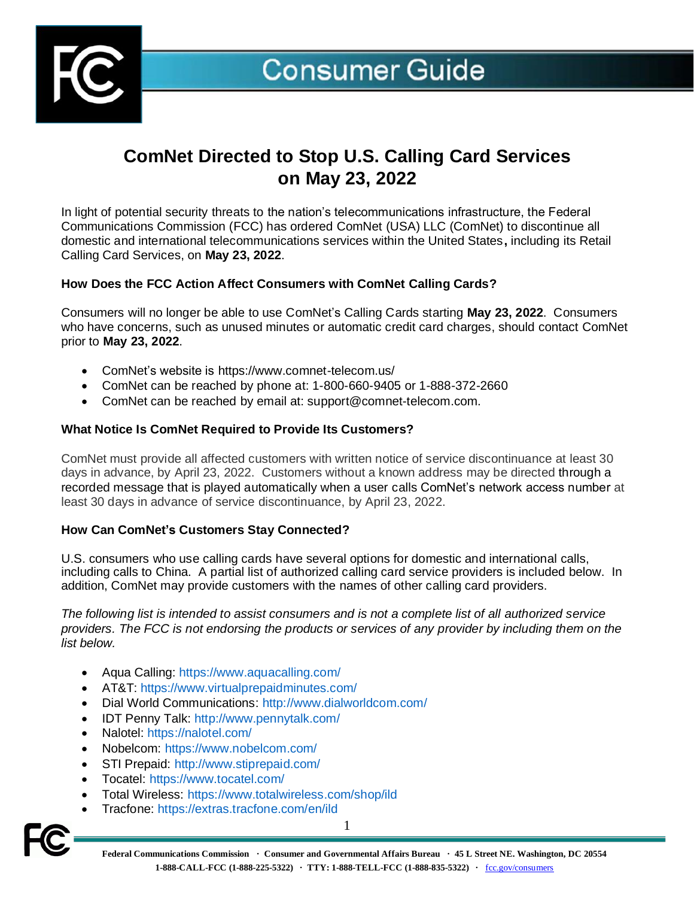

# **ComNet Directed to Stop U.S. Calling Card Services on May 23, 2022**

In light of potential security threats to the nation's telecommunications infrastructure, the Federal Communications Commission (FCC) has ordered ComNet (USA) LLC (ComNet) to discontinue all domestic and international telecommunications services within the United States**,** including its Retail Calling Card Services, on **May 23, 2022**.

## **How Does the FCC Action Affect Consumers with ComNet Calling Cards?**

Consumers will no longer be able to use ComNet's Calling Cards starting **May 23, 2022**. Consumers who have concerns, such as unused minutes or automatic credit card charges, should contact ComNet prior to **May 23, 2022**.

- ComNet's website is https://www.comnet-telecom.us/
- ComNet can be reached by phone at: 1-800-660-9405 or 1-888-372-2660
- ComNet can be reached by email at: [support@comnet-telecom.com.](mailto:support@comnet-telecom.com)

## **What Notice Is ComNet Required to Provide Its Customers?**

ComNet must provide all affected customers with written notice of service discontinuance at least 30 days in advance, by April 23, 2022. Customers without a known address may be directed through a recorded message that is played automatically when a user calls ComNet's network access number at least 30 days in advance of service discontinuance, by April 23, 2022.

## **How Can ComNet's Customers Stay Connected?**

U.S. consumers who use calling cards have several options for domestic and international calls, including calls to China. A partial list of authorized calling card service providers is included below. In addition, ComNet may provide customers with the names of other calling card providers.

*The following list is intended to assist consumers and is not a complete list of all authorized service providers. The FCC is not endorsing the products or services of any provider by including them on the list below.* 

- Aqua Calling: [https://www.](https://www/)aquacalling.com/
- AT&T:<https://www.virtualprepaidminutes.com/>
- Dial World Communications:<http://www.dialworldcom.com/>
- IDT Penny Talk:<http://www.pennytalk.com/>
- Nalotel:<https://nalotel.com/>
- Nobelcom:<https://www.nobelcom.com/>
- STI Prepaid:<http://www.stiprepaid.com/>
- Tocatel:<https://www.tocatel.com/>
- Total Wireless:<https://www.totalwireless.com/shop/ild>
- Tracfone:<https://extras.tracfone.com/en/ild>